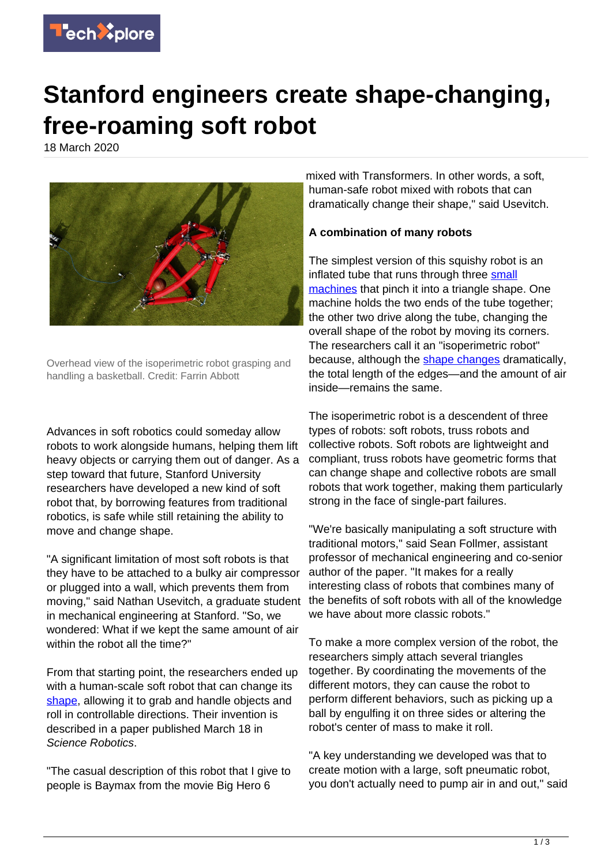

## **Stanford engineers create shape-changing, free-roaming soft robot**

18 March 2020



Overhead view of the isoperimetric robot grasping and handling a basketball. Credit: Farrin Abbott

Advances in soft robotics could someday allow robots to work alongside humans, helping them lift heavy objects or carrying them out of danger. As a step toward that future, Stanford University researchers have developed a new kind of soft robot that, by borrowing features from traditional robotics, is safe while still retaining the ability to move and change shape.

"A significant limitation of most soft robots is that they have to be attached to a bulky air compressor or plugged into a wall, which prevents them from moving," said Nathan Usevitch, a graduate student in mechanical engineering at Stanford. "So, we wondered: What if we kept the same amount of air within the robot all the time?"

From that starting point, the researchers ended up with a human-scale soft robot that can change its [shape](https://techxplore.com/tags/shape/), allowing it to grab and handle objects and roll in controllable directions. Their invention is described in a paper published March 18 in Science Robotics.

"The casual description of this robot that I give to people is Baymax from the movie Big Hero 6

mixed with Transformers. In other words, a soft, human-safe robot mixed with robots that can dramatically change their shape," said Usevitch.

## **A combination of many robots**

The simplest version of this squishy robot is an inflated tube that runs through three [small](https://techxplore.com/tags/small+machines/) [machines](https://techxplore.com/tags/small+machines/) that pinch it into a triangle shape. One machine holds the two ends of the tube together; the other two drive along the tube, changing the overall shape of the robot by moving its corners. The researchers call it an "isoperimetric robot" because, although the [shape changes](https://techxplore.com/tags/shape+changes/) dramatically, the total length of the edges—and the amount of air inside—remains the same.

The isoperimetric robot is a descendent of three types of robots: soft robots, truss robots and collective robots. Soft robots are lightweight and compliant, truss robots have geometric forms that can change shape and collective robots are small robots that work together, making them particularly strong in the face of single-part failures.

"We're basically manipulating a soft structure with traditional motors," said Sean Follmer, assistant professor of mechanical engineering and co-senior author of the paper. "It makes for a really interesting class of robots that combines many of the benefits of soft robots with all of the knowledge we have about more classic robots."

To make a more complex version of the robot, the researchers simply attach several triangles together. By coordinating the movements of the different motors, they can cause the robot to perform different behaviors, such as picking up a ball by engulfing it on three sides or altering the robot's center of mass to make it roll.

"A key understanding we developed was that to create motion with a large, soft pneumatic robot, you don't actually need to pump air in and out," said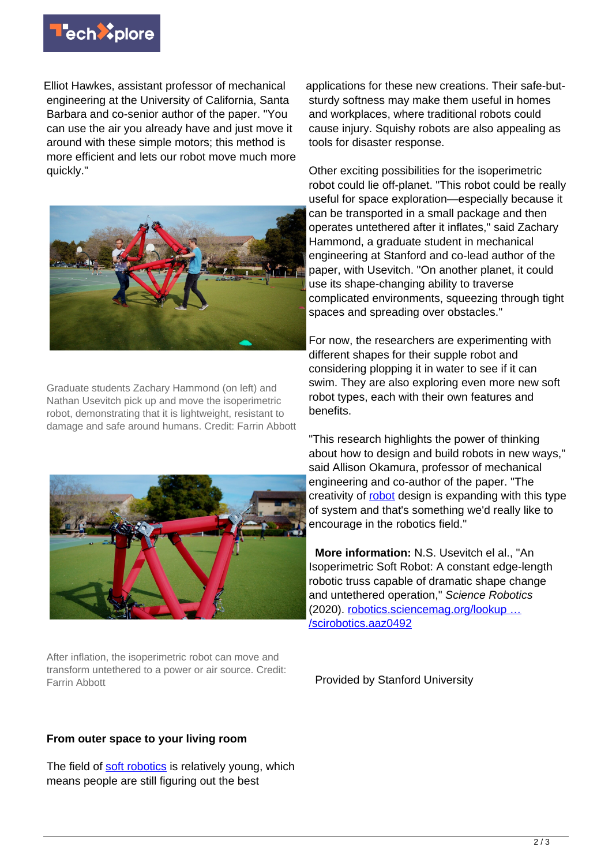

Elliot Hawkes, assistant professor of mechanical engineering at the University of California, Santa Barbara and co-senior author of the paper. "You can use the air you already have and just move it around with these simple motors; this method is more efficient and lets our robot move much more quickly."



Graduate students Zachary Hammond (on left) and Nathan Usevitch pick up and move the isoperimetric robot, demonstrating that it is lightweight, resistant to damage and safe around humans. Credit: Farrin Abbott



After inflation, the isoperimetric robot can move and transform untethered to a power or air source. Credit: Farrin Abbott

## **From outer space to your living room**

The field of [soft robotics](https://techxplore.com/tags/soft+robotics/) is relatively young, which means people are still figuring out the best

applications for these new creations. Their safe-butsturdy softness may make them useful in homes and workplaces, where traditional robots could cause injury. Squishy robots are also appealing as tools for disaster response.

Other exciting possibilities for the isoperimetric robot could lie off-planet. "This robot could be really useful for space exploration—especially because it can be transported in a small package and then operates untethered after it inflates," said Zachary Hammond, a graduate student in mechanical engineering at Stanford and co-lead author of the paper, with Usevitch. "On another planet, it could use its shape-changing ability to traverse complicated environments, squeezing through tight spaces and spreading over obstacles."

For now, the researchers are experimenting with different shapes for their supple robot and considering plopping it in water to see if it can swim. They are also exploring even more new soft robot types, each with their own features and benefits.

"This research highlights the power of thinking about how to design and build robots in new ways," said Allison Okamura, professor of mechanical engineering and co-author of the paper. "The creativity of [robot](https://techxplore.com/tags/robot/) design is expanding with this type of system and that's something we'd really like to encourage in the robotics field."

 **More information:** N.S. Usevitch el al., "An Isoperimetric Soft Robot: A constant edge-length robotic truss capable of dramatic shape change and untethered operation," Science Robotics (2020). [robotics.sciencemag.org/lookup …](http://robotics.sciencemag.org/lookup/doi/10.1126/scirobotics.aaz0492) [/scirobotics.aaz0492](http://robotics.sciencemag.org/lookup/doi/10.1126/scirobotics.aaz0492)

Provided by Stanford University